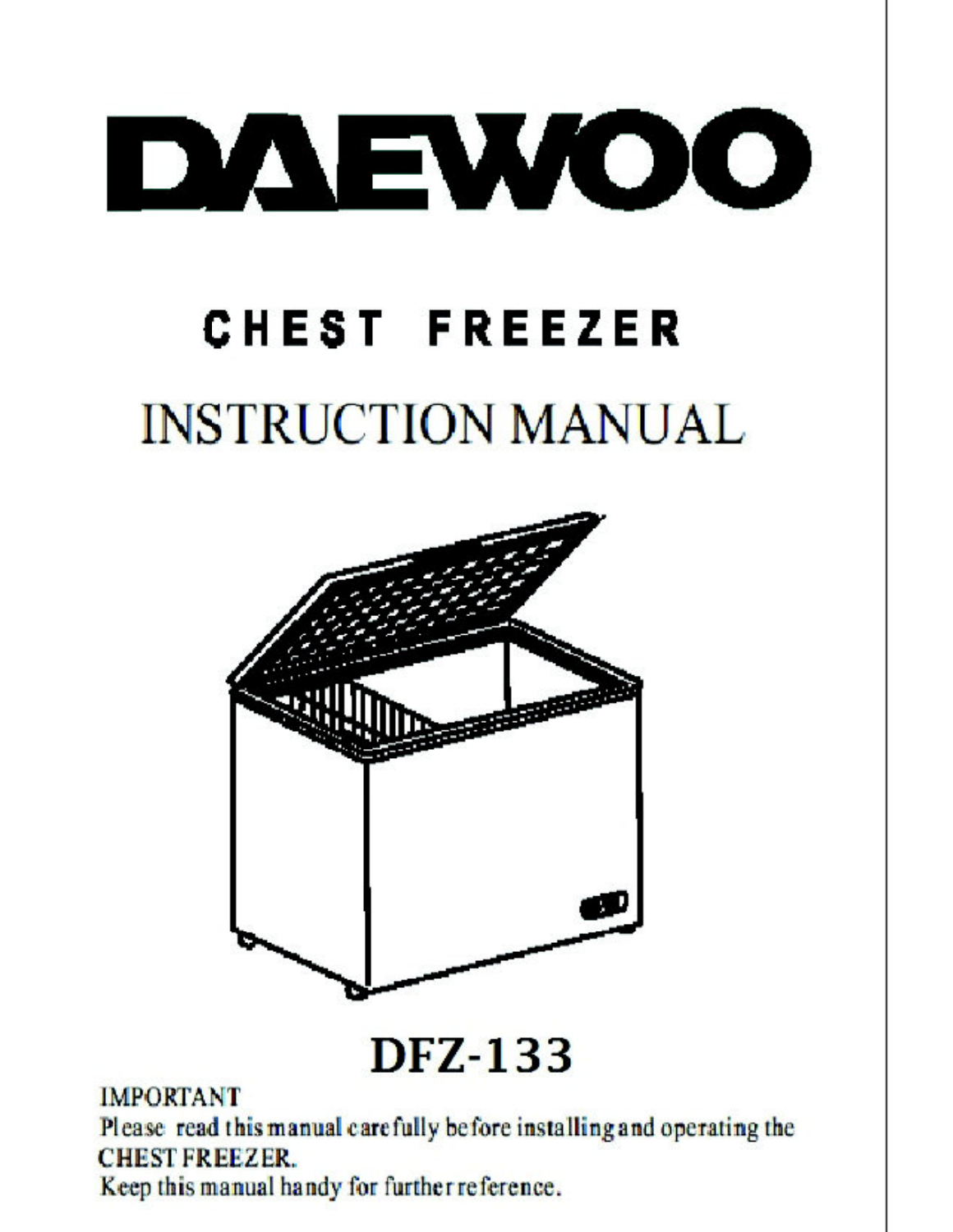

# **CHEST FREEZER INSTRUCTION MANUAL**



# **DFZ-133**

**IMPORTANT** 

Please read this manual carefully before installing and operating the **CHEST FREEZER.** 

Keep this manual handy for further reference.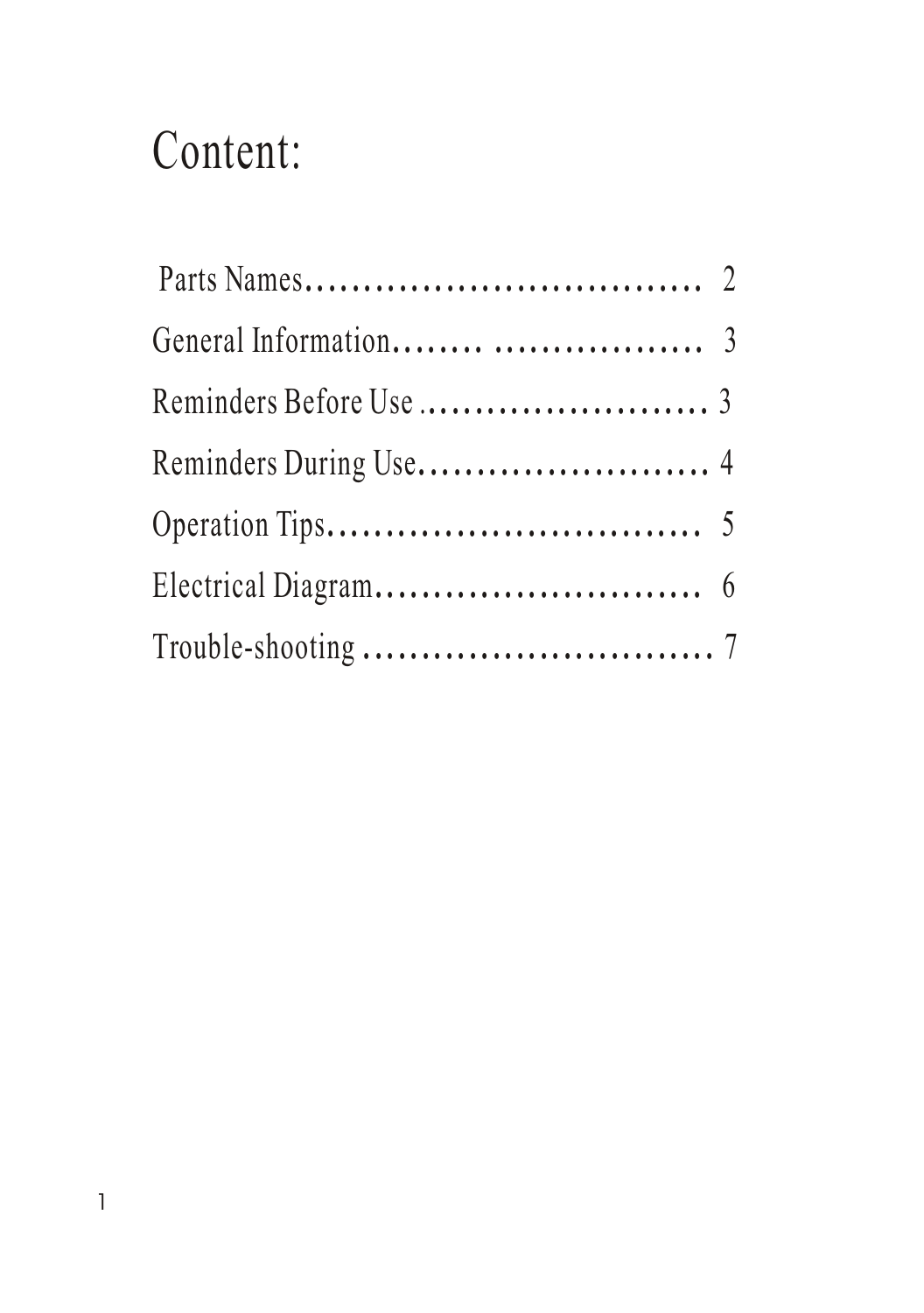## Content: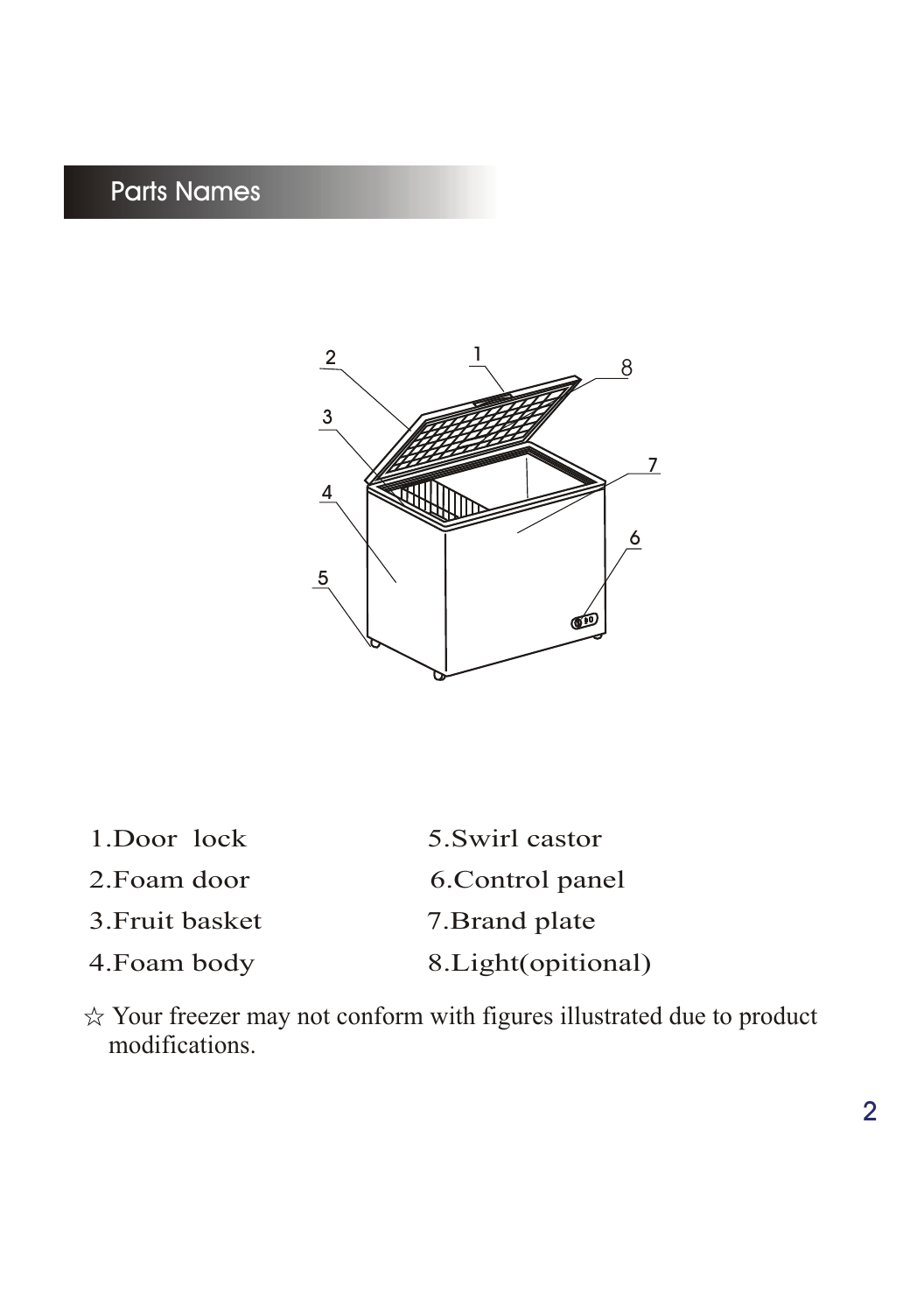### Parts Names



| 1.Door lock     | 5. Swirl castor      |
|-----------------|----------------------|
| 2. Foam door    | 6. Control panel     |
| 3. Fruit basket | 7. Brand plate       |
| 4. Foam body    | 8. Light (opitional) |
|                 |                      |

modifications.  $\&$  Your freezer may not conform with figures illustrated due to product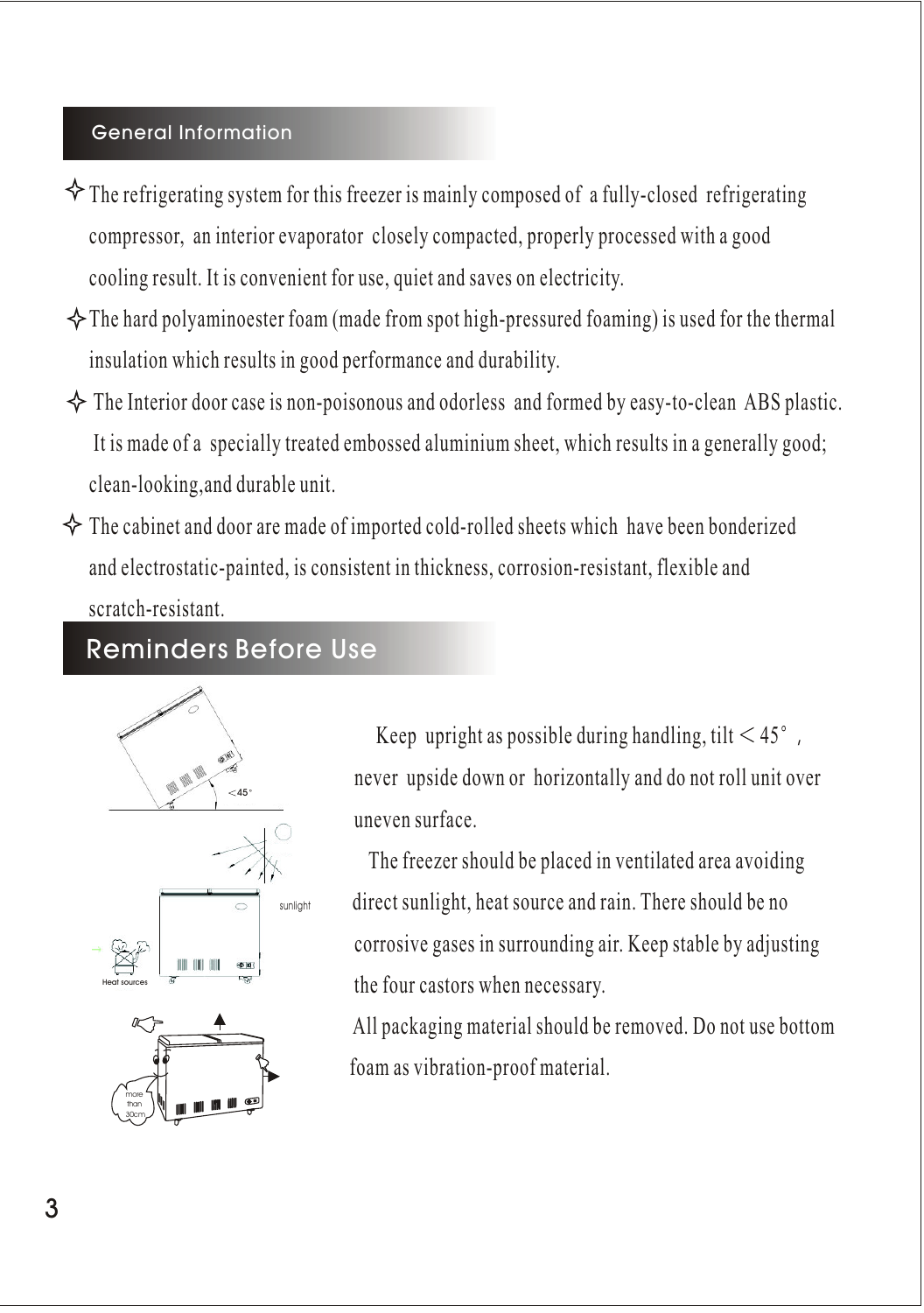#### General Information

- $\diamondsuit$  The refrigerating system for this freezer is mainly composed of a fully-closed refrigerating compressor, an interior evaporator closely compacted, properly processed with a good cooling result. It is convenient for use, quiet and saves on electricity.
- $\Diamond$  The hard polyaminoester foam (made from spot high-pressured foaming) is used for the thermal insulation which results in good performance and durability.
- $\Diamond$  The Interior door case is non-poisonous and odorless and formed by easy-to-clean ABS plastic. It is made of a specially treated embossed aluminium sheet, which results in a generally good; clean-looking,and durable unit.
- $\diamondsuit$  The cabinet and door are made of imported cold-rolled sheets which have been bonderized and electrostatic-painted, is consistent in thickness, corrosion-resistant, flexible and scratch-resistant.

#### Reminders Before Use



Keep upright as possible during handling, tilt  $\leq 45^\circ$ , never upside down or horizontally and do not roll unit over uneven surface.

 The freezer should be placed in ventilated area avoiding sunlight direct sunlight, heat source and rain. There should be no corrosive gases in surrounding air. Keep stable by adjusting the four castors when necessary.

> All packaging material should be removed. Do not use bottom foam as vibration-proof material.

30cm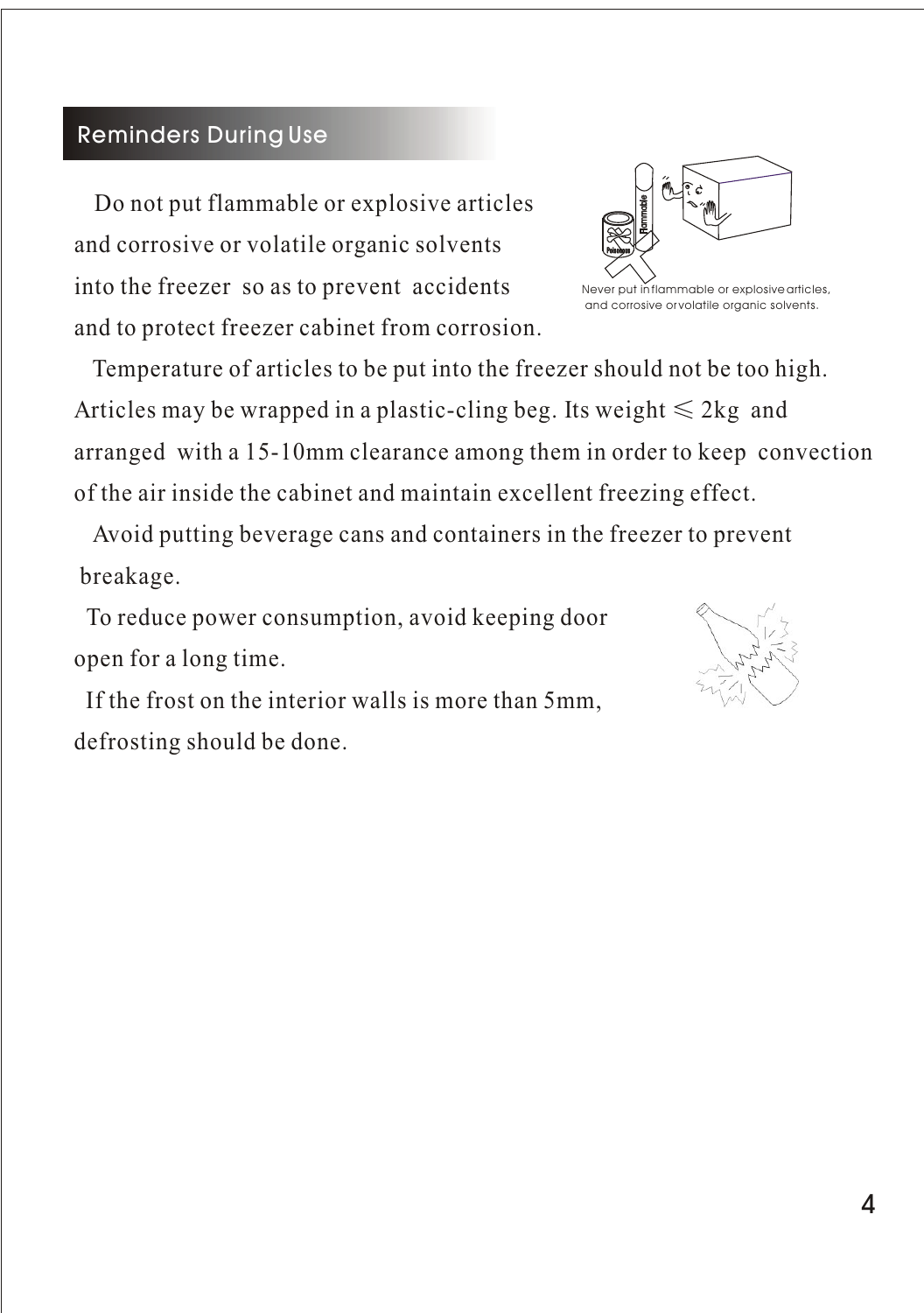#### Reminders During Use

 Do not put flammable or explosive articles and corrosive or volatile organic solvents into the freezer so as to prevent accidents and to protect freezer cabinet from corrosion.



put in flammable or explosive articles, and corrosive or volatile organic solvents.

 Temperature of articles to be put into the freezer should not be too high. Articles may be wrapped in a plastic-cling beg. Its weight  $\leq 2kg$  and arranged with a 15-10mm clearance among them in order to keep convection of the air inside the cabinet and maintain excellent freezing effect.

 Avoid putting beverage cans and containers in the freezer to prevent breakage.

 To reduce power consumption, avoid keeping door open for a long time.

 If the frost on the interior walls is more than 5mm, defrosting should be done.

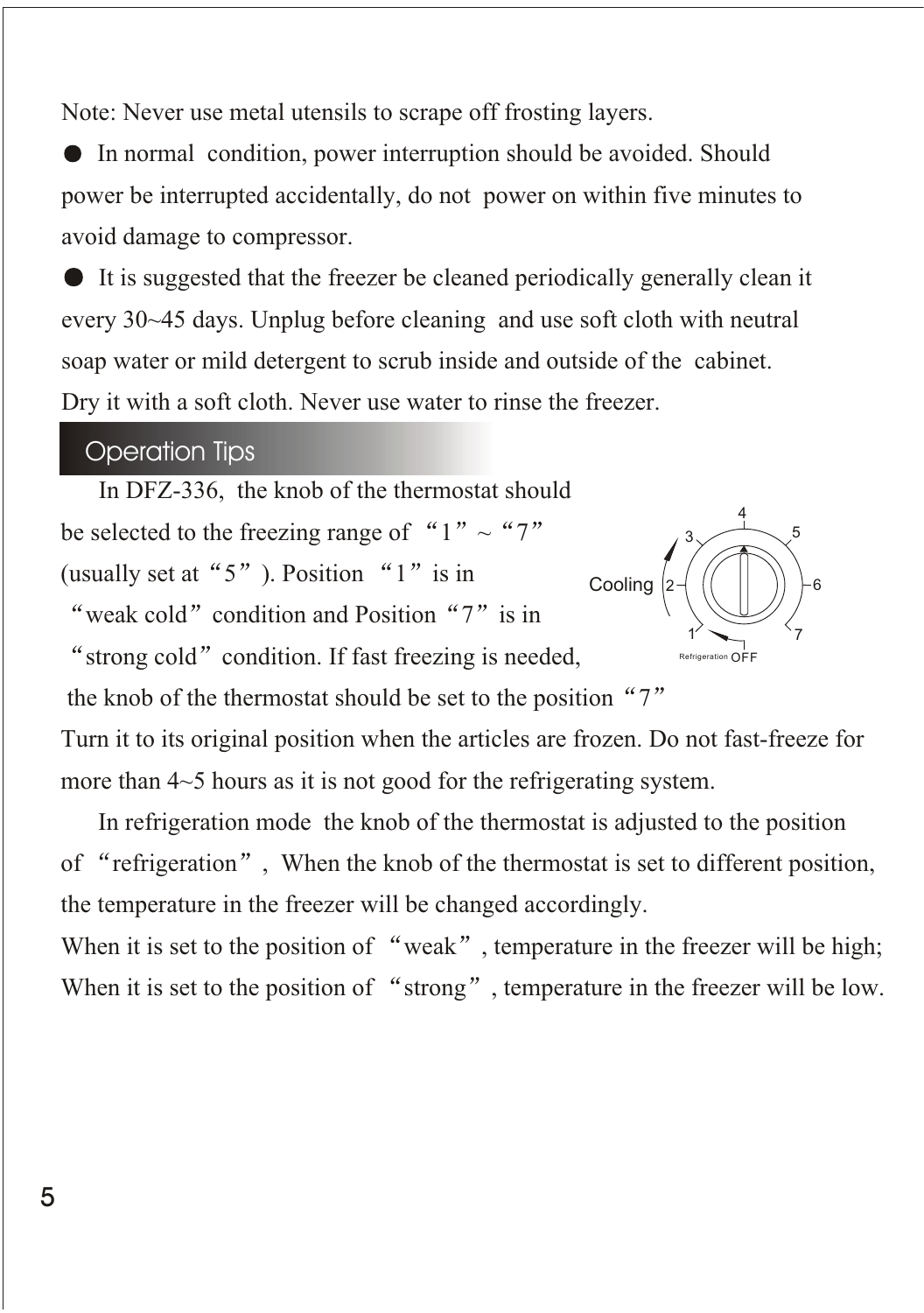Note: Never use metal utensils to scrape off frosting layers.

 In normal condition, power interruption should be avoided. Should power be interrupted accidentally, do not power on within five minutes to avoid damage to compressor.

 It is suggested that the freezer be cleaned periodically generally clean it every 30~45 days. Unplug before cleaning and use soft cloth with neutral soap water or mild detergent to scrub inside and outside of the cabinet. Dry it with a soft cloth. Never use water to rinse the freezer.

#### Operation Tips

 In DFZ-336, the knob of the thermostat should be selected to the freezing range of " $1" \sim "7"$ (usually set at " $5$ "). Position " $1$ " is in

"weak cold" condition and Position " $7"$  is in

" strong cold" condition. If fast freezing is needed,

the knob of the thermostat should be set to the position " $7"$ "

Turn it to its original position when the articles are frozen. Do not fast-freeze for more than 4~5 hours as it is not good for the refrigerating system.

 In refrigeration mode the knob of the thermostat is adjusted to the position of "refrigeration", When the knob of the thermostat is set to different position, the temperature in the freezer will be changed accordingly.

When it is set to the position of "weak", temperature in the freezer will be high; When it is set to the position of "strong", temperature in the freezer will be low.

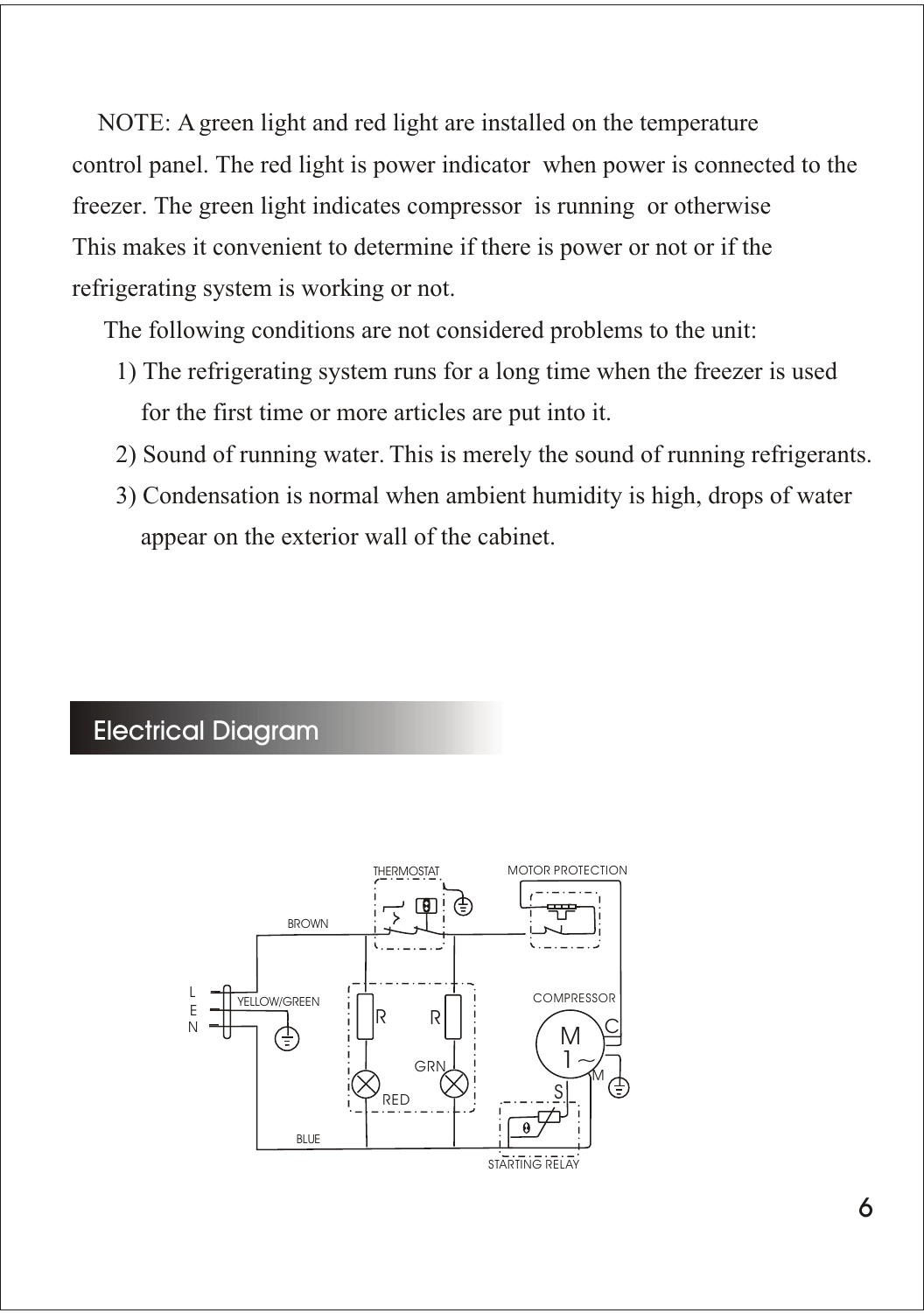NOTE: A green light and red light are installed on the temperature control panel. The red light is power indicator when power is connected to the freezer. The green light indicates compressor is running or otherwise This makes it convenient to determine if there is power or not or if the refrigerating system is working or not.

The following conditions are not considered problems to the unit:

- 1) The refrigerating system runs for a long time when the freezer is used for the first time or more articles are put into it.
- 2) Sound of running water. This is merely the sound of running refrigerants.  $\alpha$  and  $\alpha$  and  $\alpha$ 
	- 3) Condensation is normal when ambient humidity is high, drops of water appear on the exterior wall of the cabinet.

### Electrical Diagram